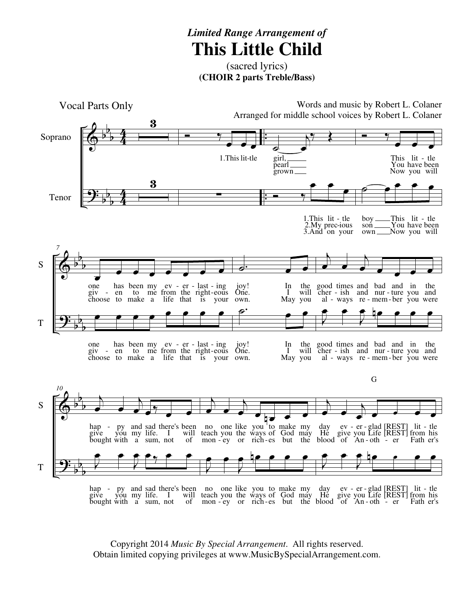## *Limited Range Arrangement of* **This Little Child**

(sacred lyrics) **(CHOIR 2 parts Treble/Bass)**



hap give bought py you with and my a sad life. sum, there's I not been will of no teach mon one you ey like the or you ways rich to of es make God but my may the day He blood ev give of er you An glad Life oth [REST] [REST] er lit from Fath tle his er's - py and sad there's been no one like you to make my day ev - er glad [REST] lit -- ey or rich-es but the blood of An-oth -

Copyright 2014 *Music By Special Arrangement*. All rights reserved. Obtain limited copying privileges at www.MusicBySpecialArrangement.com.